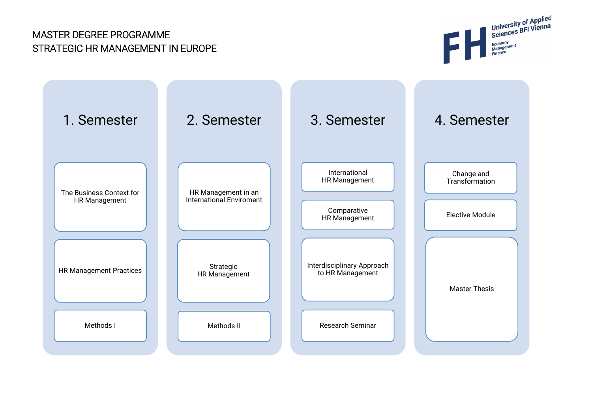# MASTER DEGREE PROGRAMME STRATEGIC HR MANAGEMENT IN EUROPE